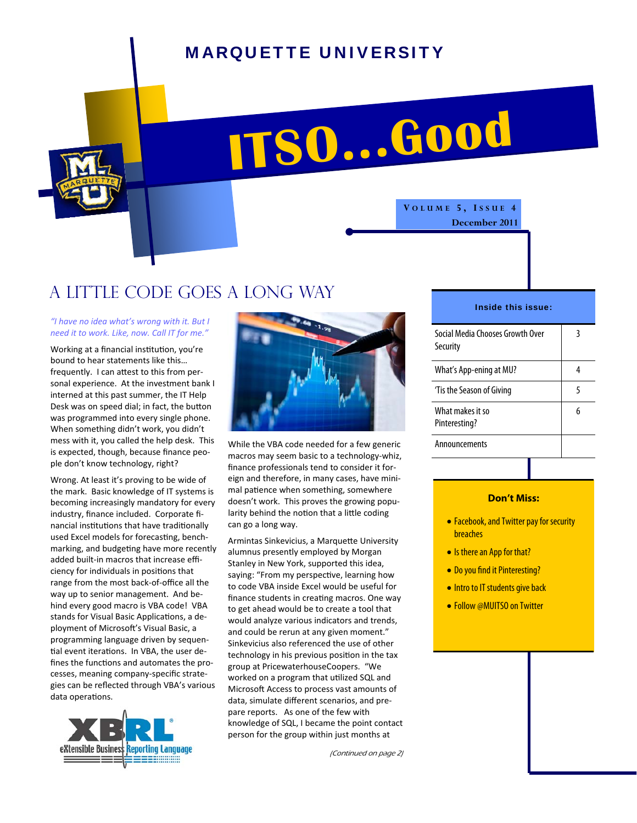## MARQUETTE UNIVERSITY

**ITSO...Good**

A little code goes a long way

## *"I have no idea what's wrong with it. But I need it to work. Like, now. Call IT for me."*

Working at a financial institution, you're bound to hear statements like this… frequently. I can attest to this from personal experience. At the investment bank I interned at this past summer, the IT Help Desk was on speed dial; in fact, the button was programmed into every single phone. When something didn't work, you didn't mess with it, you called the help desk. This is expected, though, because finance peo‐ ple don't know technology, right?

Wrong. At least it's proving to be wide of the mark. Basic knowledge of IT systems is becoming increasingly mandatory for every industry, finance included. Corporate fi‐ nancial institutions that have traditionally used Excel models for forecasting, benchmarking, and budgeting have more recently added built‐in macros that increase effi‐ ciency for individuals in positions that range from the most back‐of‐office all the way up to senior management. And behind every good macro is VBA code! VBA stands for Visual Basic Applications, a deployment of Microsoft's Visual Basic, a programming language driven by sequen‐ tial event iterations. In VBA, the user defines the functions and automates the processes, meaning company‐specific strate‐ gies can be reflected through VBA's various data operations.





While the VBA code needed for a few generic macros may seem basic to a technology‐whiz, finance professionals tend to consider it for‐ eign and therefore, in many cases, have mini‐ mal patience when something, somewhere doesn't work. This proves the growing popu‐ larity behind the notion that a little coding can go a long way.

Armintas Sinkevicius, a Marquette University alumnus presently employed by Morgan Stanley in New York, supported this idea, saying: "From my perspective, learning how to code VBA inside Excel would be useful for finance students in creating macros. One way to get ahead would be to create a tool that would analyze various indicators and trends, and could be rerun at any given moment." Sinkevicius also referenced the use of other technology in his previous position in the tax group at PricewaterhouseCoopers. "We worked on a program that utilized SQL and Microsoft Access to process vast amounts of data, simulate different scenarios, and pre‐ pare reports. As one of the few with knowledge of SQL, I became the point contact person for the group within just months at

(Continued on page 2)

## Inside this issue:

**V OLUME 5, I SSUE 4** 

**December 2011** 

| Social Media Chooses Growth Over<br>Security | 3 |
|----------------------------------------------|---|
| What's App-ening at MU?                      |   |
| 'Tis the Season of Giving                    | 5 |
| What makes it so<br>Pinteresting?            | h |
| Announcements                                |   |

### **Don't Miss:**

- Facebook, and Twitter pay for security breaches
- Is there an App for that?
- Do you find it Pinteresting?
- Intro to IT students give back
- Follow @MUITSO on Twitter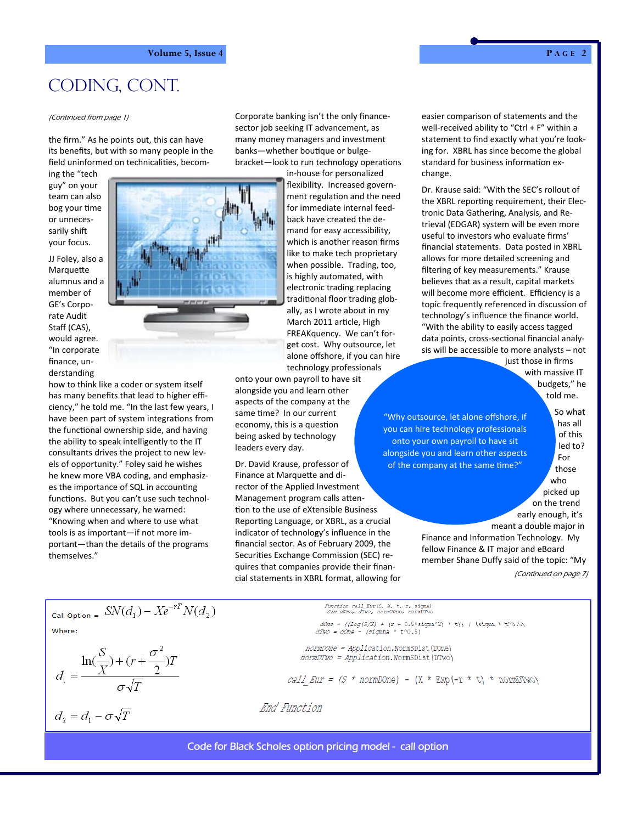# CODING, CONT.

the firm." As he points out, this can have its benefits, but with so many people in the field uninformed on technicalities, becom-

ing the "tech guy" on your team can also bog your time or unneces‐ sarily shift your focus.

JJ Foley, also a **Marquette** alumnus and a member of GE's Corpo‐ rate Audit Staff (CAS), would agree. "In corporate finance, un‐ derstanding



how to think like a coder or system itself has many benefits that lead to higher effi‐ ciency," he told me. "In the last few years, I have been part of system integrations from the functional ownership side, and having the ability to speak intelligently to the IT consultants drives the project to new lev‐ els of opportunity." Foley said he wishes he knew more VBA coding, and emphasiz‐ es the importance of SQL in accounting functions. But you can't use such technology where unnecessary, he warned: "Knowing when and where to use what tools is as important—if not more im‐ portant—than the details of the programs themselves."

Corporate banking isn't the only finance‐ sector job seeking IT advancement, as many money managers and investment banks-whether boutique or bulgebracket-look to run technology operations (Continued from page 1) easier comparison of statements and the Corporate banking isn't the only finance-<br>Continued from page 1)

> in‐house for personalized flexibility. Increased govern‐ ment regulation and the need for immediate internal feed‐ back have created the de‐ mand for easy accessibility, which is another reason firms like to make tech proprietary when possible. Trading, too, is highly automated, with electronic trading replacing traditional floor trading globally, as I wrote about in my March 2011 article, High FREAKquency. We can't for‐ get cost. Why outsource, let alone offshore, if you can hire technology professionals

onto your own payroll to have sit alongside you and learn other aspects of the company at the same time? In our current economy, this is a question being asked by technology leaders every day.

Dr. David Krause, professor of Finance at Marquette and director of the Applied Investment Management program calls attention to the use of eXtensible Business Reporting Language, or XBRL, as a crucial indicator of technology's influence in the financial sector. As of February 2009, the Securities Exchange Commission (SEC) requires that companies provide their finan‐ cial statements in XBRL format, allowing for well-received ability to "Ctrl + F" within a statement to find exactly what you're look‐ ing for. XBRL has since become the global standard for business information exchange.

Dr. Krause said: "With the SEC's rollout of the XBRL reporting requirement, their Electronic Data Gathering, Analysis, and Re‐ trieval (EDGAR) system will be even more useful to investors who evaluate firms' financial statements. Data posted in XBRL allows for more detailed screening and filtering of key measurements." Krause believes that as a result, capital markets will become more efficient. Efficiency is a topic frequently referenced in discussion of technology's influence the finance world. "With the ability to easily access tagged data points, cross-sectional financial analysis will be accessible to more analysts – not just those in firms

with massive IT budgets," he told me.

"Why outsource, let alone offshore, if you can hire technology professionals onto your own payroll to have sit alongside you and learn other aspects of the company at the same time?"

So what has all of this led to? For those who picked up on the trend

early enough, it's meant a double major in

Finance and Information Technology. My fellow Finance & IT major and eBoard member Shane Duffy said of the topic: "My (Continued on page 7)

$$
Call\ \text{option} = \ S N(d_1) - X e^{-rT} N(d_2)
$$

$$
d_1 = \frac{\ln(\frac{S}{X}) + (r + \frac{\sigma^2}{2})T}{\sigma\sqrt{T}}
$$

$$
d_2=d_1-\sigma\sqrt{T}
$$

 $dOne = ((Log(S/X) + (r + 0.5 * sigma^2) * t)) / (sizemax * t^0.5)$ <br>  $dTwo = dOne - (sigma * t^0.5)$ 

normDOne = Application.NormSDist(DOne) normDTwo = Application.NormSDist(DTwo)

*Punction call\_Eur(S, X, t, r, sigma)*<br>*Dim dOne, dTwo, normDOne, normDTwo* 

*call Eur =*  $(S * normDOne) - (X * Exp(-r * t) * normDTwo)$ 

End Function

Code for Black Scholes option pricing model - call option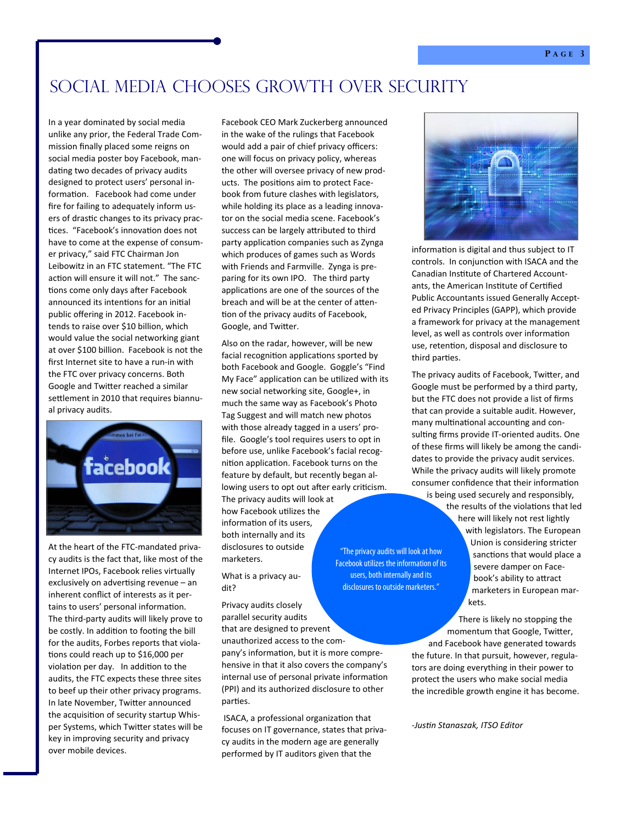## Social Media Chooses Growth Over Security

In a year dominated by social media unlike any prior, the Federal Trade Com‐ mission finally placed some reigns on social media poster boy Facebook, man‐ dating two decades of privacy audits designed to protect users' personal in‐ formation. Facebook had come under fire for failing to adequately inform us‐ ers of drastic changes to its privacy practices. "Facebook's innovation does not have to come at the expense of consum‐ er privacy," said FTC Chairman Jon Leibowitz in an FTC statement. "The FTC action will ensure it will not." The sanctions come only days after Facebook announced its intentions for an initial public offering in 2012. Facebook in‐ tends to raise over \$10 billion, which would value the social networking giant at over \$100 billion. Facebook is not the first Internet site to have a run‐in with the FTC over privacy concerns. Both Google and Twitter reached a similar settlement in 2010 that requires biannual privacy audits.



At the heart of the FTC‐mandated priva‐ cy audits is the fact that, like most of the Internet IPOs, Facebook relies virtually exclusively on advertising revenue - an inherent conflict of interests as it per‐ tains to users' personal information. The third‐party audits will likely prove to be costly. In addition to footing the bill for the audits, Forbes reports that viola‐ tions could reach up to \$16,000 per violation per day. In addition to the audits, the FTC expects these three sites to beef up their other privacy programs. In late November, Twitter announced the acquisition of security startup Whisper Systems, which Twitter states will be key in improving security and privacy over mobile devices.

Facebook CEO Mark Zuckerberg announced in the wake of the rulings that Facebook would add a pair of chief privacy officers: one will focus on privacy policy, whereas the other will oversee privacy of new prod‐ ucts. The positions aim to protect Facebook from future clashes with legislators, while holding its place as a leading innovator on the social media scene. Facebook's success can be largely attributed to third party application companies such as Zynga which produces of games such as Words with Friends and Farmville. Zynga is pre‐ paring for its own IPO. The third party applications are one of the sources of the breach and will be at the center of attention of the privacy audits of Facebook, Google, and Twitter.

Also on the radar, however, will be new facial recognition applications sported by both Facebook and Google. Goggle's "Find My Face" application can be utilized with its new social networking site, Google+, in much the same way as Facebook's Photo Tag Suggest and will match new photos with those already tagged in a users' profile. Google's tool requires users to opt in before use, unlike Facebook's facial recog‐ nition application. Facebook turns on the feature by default, but recently began al‐ lowing users to opt out after early criticism.

The privacy audits will look at how Facebook uƟlizes the information of its users, both internally and its disclosures to outside marketers.

What is a privacy audit?

Privacy audits closely parallel security audits that are designed to prevent unauthorized access to the com‐

pany's information, but it is more comprehensive in that it also covers the company's internal use of personal private information (PPI) and its authorized disclosure to other parties.

"The privacy audits will look at how Facebook utilizes the information of its users, both internally and its disclosures to outside marketers."

ISACA, a professional organization that focuses on IT governance, states that priva‐ cy audits in the modern age are generally performed by IT auditors given that the



information is digital and thus subject to IT controls. In conjunction with ISACA and the Canadian Institute of Chartered Accountants, the American Institute of Certified Public Accountants issued Generally Accept‐ ed Privacy Principles (GAPP), which provide a framework for privacy at the management level, as well as controls over information use, retention, disposal and disclosure to third parties.

The privacy audits of Facebook, Twitter, and Google must be performed by a third party, but the FTC does not provide a list of firms that can provide a suitable audit. However, many multinational accounting and consulting firms provide IT-oriented audits. One of these firms will likely be among the candi‐ dates to provide the privacy audit services. While the privacy audits will likely promote consumer confidence that their information

is being used securely and responsibly, the results of the violations that led here will likely not rest lightly with legislators. The European Union is considering stricter sanctions that would place a severe damper on Face‐ book's ability to attract marketers in European mar‐ kets.

There is likely no stopping the momentum that Google, Twitter, and Facebook have generated towards the future. In that pursuit, however, regula‐

tors are doing everything in their power to protect the users who make social media the incredible growth engine it has become.

‐*JusƟn Stanaszak, ITSO Editor*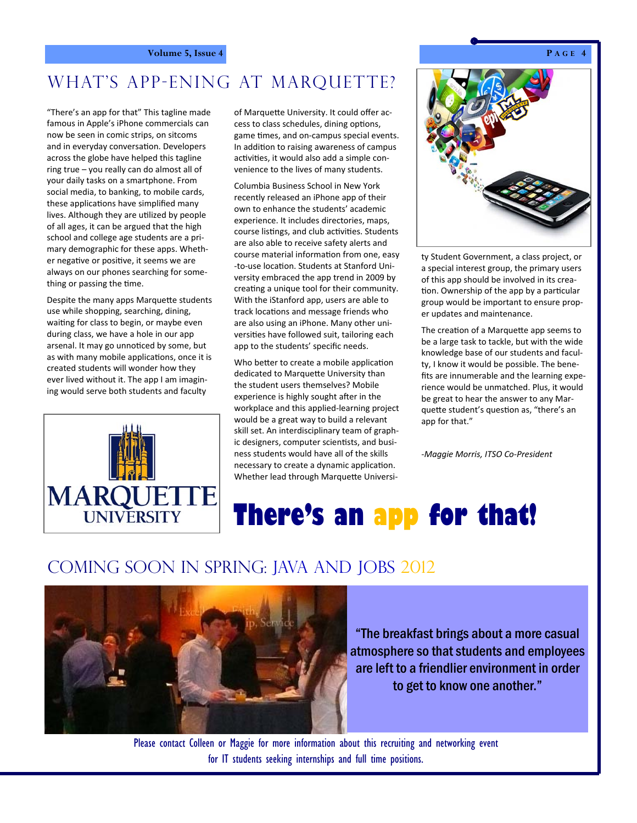## **Volume 5, Issue 4 P A** GE 4

# WHAT'S APP-ENING AT MARQUETTE?

"There's an app for that" This tagline made famous in Apple's iPhone commercials can now be seen in comic strips, on sitcoms and in everyday conversation. Developers across the globe have helped this tagline ring true – you really can do almost all of your daily tasks on a smartphone. From social media, to banking, to mobile cards, these applications have simplified many lives. Although they are utilized by people of all ages, it can be argued that the high school and college age students are a pri‐ mary demographic for these apps. Wheth‐ er negative or positive, it seems we are always on our phones searching for some‐ thing or passing the time.

Despite the many apps Marquette students use while shopping, searching, dining, waiting for class to begin, or maybe even during class, we have a hole in our app arsenal. It may go unnoticed by some, but as with many mobile applications, once it is created students will wonder how they ever lived without it. The app I am imagin‐ ing would serve both students and faculty



of Marquette University. It could offer access to class schedules, dining options, game times, and on-campus special events. In addition to raising awareness of campus activities, it would also add a simple convenience to the lives of many students.

Columbia Business School in New York recently released an iPhone app of their own to enhance the students' academic experience. It includes directories, maps, course listings, and club activities. Students are also able to receive safety alerts and course material information from one, easy ‐to‐use locaƟon. Students at Stanford Uni‐ versity embraced the app trend in 2009 by creating a unique tool for their community. With the iStanford app, users are able to track locations and message friends who are also using an iPhone. Many other uni‐ versities have followed suit, tailoring each app to the students' specific needs.

Who better to create a mobile application dedicated to Marquette University than the student users themselves? Mobile experience is highly sought after in the workplace and this applied‐learning project would be a great way to build a relevant skill set. An interdisciplinary team of graph‐ ic designers, computer scientists, and business students would have all of the skills necessary to create a dynamic application. Whether lead through Marquette Universi-



ty Student Government, a class project, or a special interest group, the primary users of this app should be involved in its crea‐ tion. Ownership of the app by a particular group would be important to ensure prop‐ er updates and maintenance.

The creation of a Marquette app seems to be a large task to tackle, but with the wide knowledge base of our students and facul‐ ty, I know it would be possible. The bene‐ fits are innumerable and the learning expe‐ rience would be unmatched. Plus, it would be great to hear the answer to any Mar‐ quette student's question as, "there's an app for that."

‐*Maggie Morris, ITSO Co‐President*

# **There's an app for that!**

## Coming soon in Spring: Java and Jobs 2012



"The breakfast brings about a more casual atmosphere so that students and employees are left to a friendlier environment in order to get to know one another."

Please contact Colleen or Maggie for more information about this recruiting and networking event for IT students seeking internships and full time positions.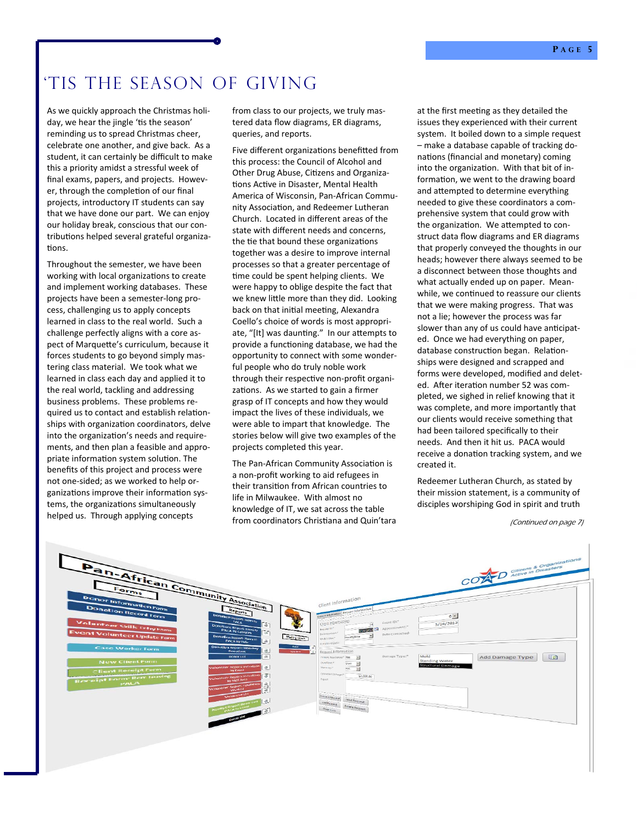# 'Tis The Season of Giving

As we quickly approach the Christmas holi‐ day, we hear the jingle 'tis the season' reminding us to spread Christmas cheer, celebrate one another, and give back. As a student, it can certainly be difficult to make this a priority amidst a stressful week of final exams, papers, and projects. Howev‐ er, through the completion of our final projects, introductory IT students can say that we have done our part. We can enjoy our holiday break, conscious that our con‐ tributions helped several grateful organizations.

Throughout the semester, we have been working with local organizations to create and implement working databases. These projects have been a semester‐long pro‐ cess, challenging us to apply concepts learned in class to the real world. Such a challenge perfectly aligns with a core as‐ pect of Marquette's curriculum, because it forces students to go beyond simply mas‐ tering class material. We took what we learned in class each day and applied it to the real world, tackling and addressing business problems. These problems re‐ quired us to contact and establish relationships with organization coordinators, delve into the organization's needs and requirements, and then plan a feasible and appro‐ priate information system solution. The benefits of this project and process were not one‐sided; as we worked to help or‐ ganizations improve their information systems, the organizations simultaneously helped us. Through applying concepts

from class to our projects, we truly mastered data flow diagrams, ER diagrams, queries, and reports.

Five different organizations benefitted from this process: the Council of Alcohol and Other Drug Abuse, Citizens and Organizations Active in Disaster, Mental Health America of Wisconsin, Pan‐African Commu‐ nity Association, and Redeemer Lutheran Church. Located in different areas of the state with different needs and concerns, the tie that bound these organizations together was a desire to improve internal processes so that a greater percentage of time could be spent helping clients. We were happy to oblige despite the fact that we knew little more than they did. Looking back on that initial meeting, Alexandra Coello's choice of words is most appropri‐ ate, "[It] was daunting." In our attempts to provide a functioning database, we had the opportunity to connect with some wonder‐ ful people who do truly noble work through their respective non-profit organizations. As we started to gain a firmer grasp of IT concepts and how they would impact the lives of these individuals, we were able to impart that knowledge. The stories below will give two examples of the projects completed this year.

The Pan-African Community Association is a non‐profit working to aid refugees in their transition from African countries to life in Milwaukee. With almost no knowledge of IT, we sat across the table from coordinators Christiana and Quin'tara

at the first meeting as they detailed the issues they experienced with their current system. It boiled down to a simple request – make a database capable of tracking do‐ nations (financial and monetary) coming into the organization. With that bit of information, we went to the drawing board and attempted to determine everything needed to give these coordinators a com‐ prehensive system that could grow with the organization. We attempted to construct data flow diagrams and ER diagrams that properly conveyed the thoughts in our heads; however there always seemed to be a disconnect between those thoughts and what actually ended up on paper. Mean‐ while, we continued to reassure our clients that we were making progress. That was not a lie; however the process was far slower than any of us could have anticipated. Once we had everything on paper, database construction began. Relationships were designed and scrapped and forms were developed, modified and delet‐ ed. After iteration number 52 was completed, we sighed in relief knowing that it was complete, and more importantly that our clients would receive something that had been tailored specifically to their needs. And then it hit us. PACA would receive a donation tracking system, and we created it.

Redeemer Lutheran Church, as stated by their mission statement, is a community of disciples worshiping God in spirit and truth

(Continued on page 7)

| Pan-African Community Association                                                                                                                                                                                                                                                                                                       | COAD delive in Disasters                                                                                                                                                                                                                                                                                                                                              |
|-----------------------------------------------------------------------------------------------------------------------------------------------------------------------------------------------------------------------------------------------------------------------------------------------------------------------------------------|-----------------------------------------------------------------------------------------------------------------------------------------------------------------------------------------------------------------------------------------------------------------------------------------------------------------------------------------------------------------------|
| Donation Record Form<br>Reports<br><b>Donation Report: Illensite</b><br>Volunteer Skills Frthy Form<br><b>Donations Report: Renote</b><br>PACA by Category<br>ran<br><b>Event Volunteer Update Form</b><br>Donation Report: Items to                                                                                                    | Client Information<br>Column information Request Information<br>$6 -$<br>Clent information<br>Event ID:<br>5/16/2012<br><b>W.</b><br>Appointment:"<br>Bequesi ID."<br>5/16/2012<br>Date Contacted:<br>Deto Ropelved:"<br>Malling Labels<br>Incomplete<br>Work Status*                                                                                                 |
| <b>PACA by Date</b><br><b>Donation Report: Monetary</b><br><b>Case Worker Form</b><br><b>Donations</b><br><b>Donor List</b><br><b>New Client Form</b><br><b>Valunceer Report: Volunteer</b><br><b>Client Receipt Form</b><br>by Event<br>Volunteer Report Volunteer [151]<br><b>Receipt Form: Item leaving</b><br>by Skill Area<br>PALA | $\sqrt{M}$<br>Completed Delin:<br><b>There</b><br>B.<br>Request Information<br>Wwders 2<br>$\sqrt{2}$<br>le<br>Mold<br>Damage Type:*<br>Add Damage Type<br>Primary Residence!" Nos<br>国<br><b>Standing Water</b><br>OurNFort:"<br>E<br>Oprn<br><b>Structural Damage</b><br>49<br>Wirmenty:"<br>$\mathbb{R}$<br>Yos<br>Estimated Damage:"<br>\$2,000.00<br>Report<br>疼 |
| Volunteer Report: TetalHours<br>Volunteer List<br>[學]<br><b>DECRIFE Report: Items from</b><br><b>Report Follows</b>                                                                                                                                                                                                                     | $\frac{1}{2}$<br>Previous Rocketst<br>Noxt Request<br>Add Request Delete Request<br>Close Form                                                                                                                                                                                                                                                                        |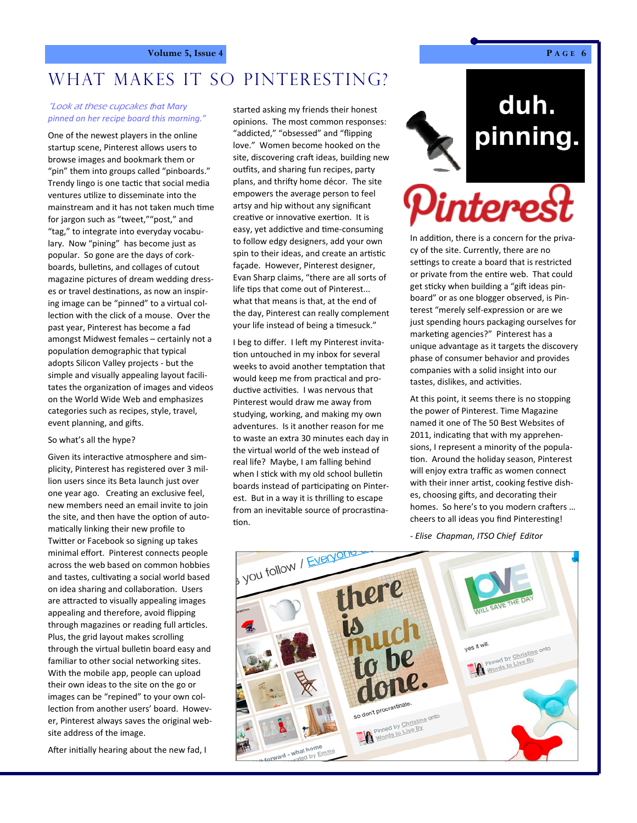## WHAT MAKES IT SO PINTERESTING?

## "Look at these cupcakes t*hat Mary pinned on her recipe board this morning."*

One of the newest players in the online startup scene, Pinterest allows users to browse images and bookmark them or "pin" them into groups called "pinboards." Trendy lingo is one tactic that social media ventures utilize to disseminate into the mainstream and it has not taken much time for jargon such as "tweet,""post," and "tag," to integrate into everyday vocabu‐ lary. Now "pining" has become just as popular. So gone are the days of cork‐ boards, bulletins, and collages of cutout magazine pictures of dream wedding dress‐ es or travel destinations, as now an inspiring image can be "pinned" to a virtual col‐ lection with the click of a mouse. Over the past year, Pinterest has become a fad amongst Midwest females – certainly not a population demographic that typical adopts Silicon Valley projects ‐ but the simple and visually appealing layout facili‐ tates the organization of images and videos on the World Wide Web and emphasizes categories such as recipes, style, travel, event planning, and gifts.

### So what's all the hype?

Given its interactive atmosphere and simplicity, Pinterest has registered over 3 mil‐ lion users since its Beta launch just over one year ago. Creating an exclusive feel, new members need an email invite to join the site, and then have the option of automatically linking their new profile to Twitter or Facebook so signing up takes minimal effort. Pinterest connects people across the web based on common hobbies and tastes, cultivating a social world based on idea sharing and collaboration. Users are attracted to visually appealing images appealing and therefore, avoid flipping through magazines or reading full articles. Plus, the grid layout makes scrolling through the virtual bulletin board easy and familiar to other social networking sites. With the mobile app, people can upload their own ideas to the site on the go or images can be "repined" to your own col‐ lection from another users' board. However, Pinterest always saves the original web‐ site address of the image.

After initially hearing about the new fad, I

started asking my friends their honest opinions. The most common responses: "addicted," "obsessed" and "flipping love." Women become hooked on the site, discovering craft ideas, building new outfits, and sharing fun recipes, party plans, and thrifty home décor. The site empowers the average person to feel artsy and hip without any significant creative or innovative exertion. It is easy, yet addictive and time-consuming to follow edgy designers, add your own spin to their ideas, and create an artistic façade. However, Pinterest designer, Evan Sharp claims, "there are all sorts of life tips that come out of Pinterest... what that means is that, at the end of the day, Pinterest can really complement your life instead of being a timesuck."

I beg to differ. I left my Pinterest invitation untouched in my inbox for several weeks to avoid another temptation that would keep me from practical and productive activities. I was nervous that Pinterest would draw me away from studying, working, and making my own adventures. Is it another reason for me to waste an extra 30 minutes each day in the virtual world of the web instead of real life? Maybe, I am falling behind when I stick with my old school bulletin boards instead of participating on Pinterest. But in a way it is thrilling to escape from an inevitable source of procrastination.

# duh. pinning.



In addition, there is a concern for the privacy of the site. Currently, there are no settings to create a board that is restricted or private from the entire web. That could get sticky when building a "gift ideas pinboard" or as one blogger observed, is Pin‐ terest "merely self‐expression or are we just spending hours packaging ourselves for marketing agencies?" Pinterest has a unique advantage as it targets the discovery phase of consumer behavior and provides companies with a solid insight into our tastes, dislikes, and activities.

At this point, it seems there is no stopping the power of Pinterest. Time Magazine named it one of The 50 Best Websites of 2011, indicating that with my apprehensions, I represent a minority of the popula‐ tion. Around the holiday season, Pinterest will enjoy extra traffic as women connect with their inner artist, cooking festive dishes, choosing gifts, and decorating their homes. So here's to you modern crafters ... cheers to all ideas you find Pinteresting!

*‐ Elise Chapman, ITSO Chief Editor*

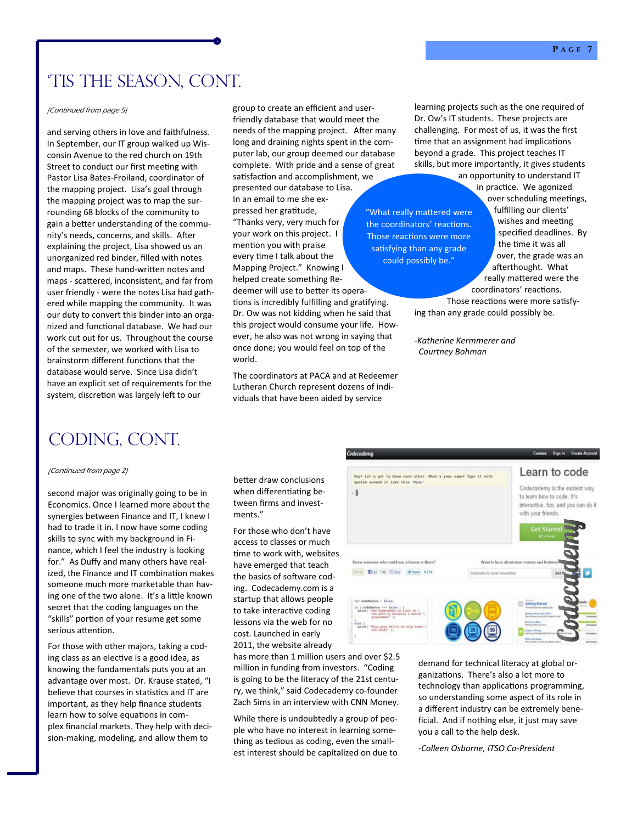## 'Tis the Season, Cont.

and serving others in love and faithfulness. In September, our IT group walked up Wis‐ consin Avenue to the red church on 19th Street to conduct our first meeting with Pastor Lisa Bates‐Froiland, coordinator of the mapping project. Lisa's goal through the mapping project was to map the sur‐ rounding 68 blocks of the community to gain a better understanding of the community's needs, concerns, and skills. After explaining the project, Lisa showed us an unorganized red binder, filled with notes and maps. These hand-written notes and maps - scattered, inconsistent, and far from user friendly ‐ were the notes Lisa had gath‐ ered while mapping the community. It was our duty to convert this binder into an orga‐ nized and functional database. We had our work cut out for us. Throughout the course of the semester, we worked with Lisa to brainstorm different functions that the database would serve. Since Lisa didn't have an explicit set of requirements for the system, discretion was largely left to our

group to create an efficient and user‐ friendly database that would meet the needs of the mapping project. After many long and draining nights spent in the com‐ puter lab, our group deemed our database complete. With pride and a sense of great satisfaction and accomplishment, we

presented our database to Lisa. In an email to me she ex‐ pressed her gratitude, "Thanks very, very much for your work on this project. I mention you with praise every time I talk about the Mapping Project." Knowing I helped create something Re‐ deemer will use to better its opera-

tions is incredibly fulfilling and gratifying. Dr. Ow was not kidding when he said that this project would consume your life. How‐ ever, he also was not wrong in saying that once done; you would feel on top of the world.

The coordinators at PACA and at Redeemer Lutheran Church represent dozens of indi‐ viduals that have been aided by service

(Continued from page 5) learning projects such as the one required of Dr. Ow's IT students. These projects are challenging. For most of us, it was the first time that an assignment had implications beyond a grade. This project teaches IT skills, but more importantly, it gives students an opportunity to understand IT

> "What really mattered were the coordinators' reactions. Those reactions were more satisfying than any grade could possibly be."

in practice. We agonized over scheduling meetings, fulfilling our clients' wishes and meeting specified deadlines. By the time it was all over, the grade was an afterthought. What really mattered were the coordinators' reactions. Those reactions were more satisfy-

ing than any grade could possibly be.

*‐Katherine Kermmerer and Courtney Bohman*

## coding, cont.

### (Continued from page 2)

second major was originally going to be in Economics. Once I learned more about the synergies between Finance and IT, I knew I had to trade it in. I now have some coding skills to sync with my background in Fi‐ nance, which I feel the industry is looking for." As Duffy and many others have real‐ ized, the Finance and IT combination makes someone much more marketable than having one of the two alone. It's a little known secret that the coding languages on the "skills" portion of your resume get some serious attention.

For those with other majors, taking a cod‐ ing class as an elective is a good idea, as knowing the fundamentals puts you at an advantage over most. Dr. Krause stated, "I believe that courses in statistics and IT are important, as they help finance students learn how to solve equations in complex financial markets. They help with deci‐ sion‐making, modeling, and allow them to

better draw conclusions when differentiating between firms and invest‐ ments<sup>"</sup>

For those who don't have access to classes or much time to work with, websites have emerged that teach the basics of software coding. Codecademy.com is a startup that allows people to take interactive coding lessons via the web for no cost. Launched in early 2011, the website already

has more than 1 million users and over \$2.5 million in funding from investors. "Coding is going to be the literacy of the 21st centu‐ ry, we think," said Codecademy co‐founder Zach Sims in an interview with CNN Money.

While there is undoubtedly a group of people who have no interest in learning some‐ thing as tedious as coding, even the small‐ est interest should be capitalized on due to



demand for technical literacy at global or‐ ganizations. There's also a lot more to technology than applications programming, so understanding some aspect of its role in a different industry can be extremely bene‐ ficial. And if nothing else, it just may save you a call to the help desk.

*‐Colleen Osborne, ITSO Co‐President*